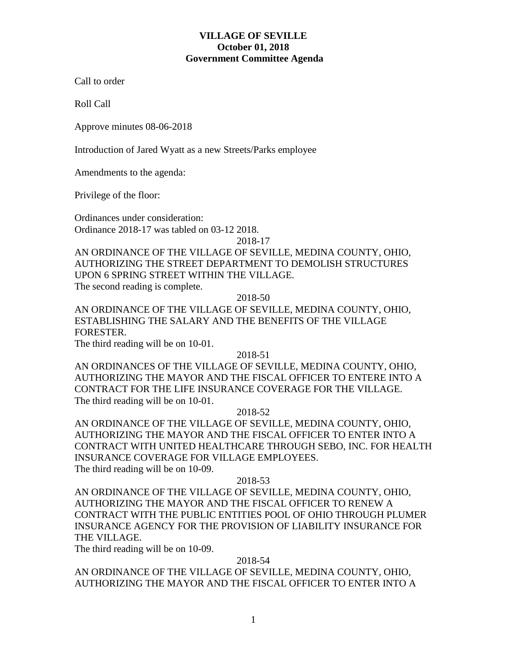## **VILLAGE OF SEVILLE October 01, 2018 Government Committee Agenda**

Call to order

Roll Call

Approve minutes 08-06-2018

Introduction of Jared Wyatt as a new Streets/Parks employee

Amendments to the agenda:

Privilege of the floor:

Ordinances under consideration: Ordinance 2018-17 was tabled on 03-12 2018.

2018-17

AN ORDINANCE OF THE VILLAGE OF SEVILLE, MEDINA COUNTY, OHIO, AUTHORIZING THE STREET DEPARTMENT TO DEMOLISH STRUCTURES UPON 6 SPRING STREET WITHIN THE VILLAGE. The second reading is complete.

2018-50

AN ORDINANCE OF THE VILLAGE OF SEVILLE, MEDINA COUNTY, OHIO, ESTABLISHING THE SALARY AND THE BENEFITS OF THE VILLAGE FORESTER.

The third reading will be on 10-01.

2018-51

AN ORDINANCES OF THE VILLAGE OF SEVILLE, MEDINA COUNTY, OHIO, AUTHORIZING THE MAYOR AND THE FISCAL OFFICER TO ENTERE INTO A CONTRACT FOR THE LIFE INSURANCE COVERAGE FOR THE VILLAGE. The third reading will be on 10-01.

2018-52

AN ORDINANCE OF THE VILLAGE OF SEVILLE, MEDINA COUNTY, OHIO, AUTHORIZING THE MAYOR AND THE FISCAL OFFICER TO ENTER INTO A CONTRACT WITH UNITED HEALTHCARE THROUGH SEBO, INC. FOR HEALTH INSURANCE COVERAGE FOR VILLAGE EMPLOYEES. The third reading will be on 10-09.

2018-53

AN ORDINANCE OF THE VILLAGE OF SEVILLE, MEDINA COUNTY, OHIO, AUTHORIZING THE MAYOR AND THE FISCAL OFFICER TO RENEW A CONTRACT WITH THE PUBLIC ENTITIES POOL OF OHIO THROUGH PLUMER INSURANCE AGENCY FOR THE PROVISION OF LIABILITY INSURANCE FOR THE VILLAGE.

The third reading will be on 10-09.

2018-54

AN ORDINANCE OF THE VILLAGE OF SEVILLE, MEDINA COUNTY, OHIO, AUTHORIZING THE MAYOR AND THE FISCAL OFFICER TO ENTER INTO A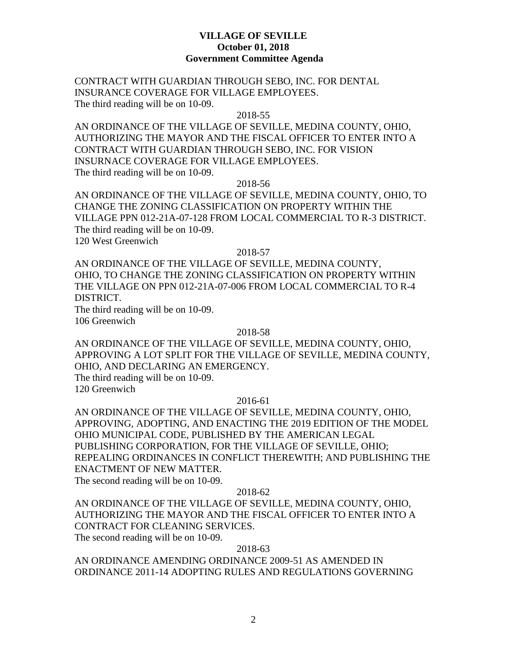## **VILLAGE OF SEVILLE October 01, 2018 Government Committee Agenda**

CONTRACT WITH GUARDIAN THROUGH SEBO, INC. FOR DENTAL INSURANCE COVERAGE FOR VILLAGE EMPLOYEES. The third reading will be on 10-09.

#### 2018-55

AN ORDINANCE OF THE VILLAGE OF SEVILLE, MEDINA COUNTY, OHIO, AUTHORIZING THE MAYOR AND THE FISCAL OFFICER TO ENTER INTO A CONTRACT WITH GUARDIAN THROUGH SEBO, INC. FOR VISION INSURNACE COVERAGE FOR VILLAGE EMPLOYEES. The third reading will be on 10-09.

2018-56

AN ORDINANCE OF THE VILLAGE OF SEVILLE, MEDINA COUNTY, OHIO, TO CHANGE THE ZONING CLASSIFICATION ON PROPERTY WITHIN THE VILLAGE PPN 012-21A-07-128 FROM LOCAL COMMERCIAL TO R-3 DISTRICT. The third reading will be on 10-09. 120 West Greenwich

#### 2018-57

AN ORDINANCE OF THE VILLAGE OF SEVILLE, MEDINA COUNTY, OHIO, TO CHANGE THE ZONING CLASSIFICATION ON PROPERTY WITHIN THE VILLAGE ON PPN 012-21A-07-006 FROM LOCAL COMMERCIAL TO R-4 DISTRICT.

The third reading will be on 10-09.

106 Greenwich

### 2018-58

AN ORDINANCE OF THE VILLAGE OF SEVILLE, MEDINA COUNTY, OHIO, APPROVING A LOT SPLIT FOR THE VILLAGE OF SEVILLE, MEDINA COUNTY, OHIO, AND DECLARING AN EMERGENCY.

The third reading will be on 10-09.

120 Greenwich

## 2016-61

AN ORDINANCE OF THE VILLAGE OF SEVILLE, MEDINA COUNTY, OHIO, APPROVING, ADOPTING, AND ENACTING THE 2019 EDITION OF THE MODEL OHIO MUNICIPAL CODE, PUBLISHED BY THE AMERICAN LEGAL PUBLISHING CORPORATION, FOR THE VILLAGE OF SEVILLE, OHIO; REPEALING ORDINANCES IN CONFLICT THEREWITH; AND PUBLISHING THE ENACTMENT OF NEW MATTER. The second reading will be on 10-09.

### 2018-62

AN ORDINANCE OF THE VILLAGE OF SEVILLE, MEDINA COUNTY, OHIO, AUTHORIZING THE MAYOR AND THE FISCAL OFFICER TO ENTER INTO A CONTRACT FOR CLEANING SERVICES. The second reading will be on 10-09.

2018-63

AN ORDINANCE AMENDING ORDINANCE 2009-51 AS AMENDED IN ORDINANCE 2011-14 ADOPTING RULES AND REGULATIONS GOVERNING